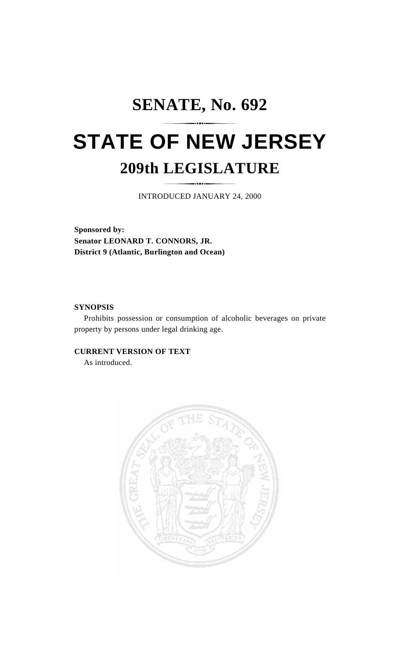## **SENATE, No. 692**

## **STATE OF NEW JERSEY 209th LEGISLATURE**

INTRODUCED JANUARY 24, 2000

**Sponsored by: Senator LEONARD T. CONNORS, JR. District 9 (Atlantic, Burlington and Ocean)**

## **SYNOPSIS**

Prohibits possession or consumption of alcoholic beverages on private property by persons under legal drinking age.

## **CURRENT VERSION OF TEXT**

As introduced.

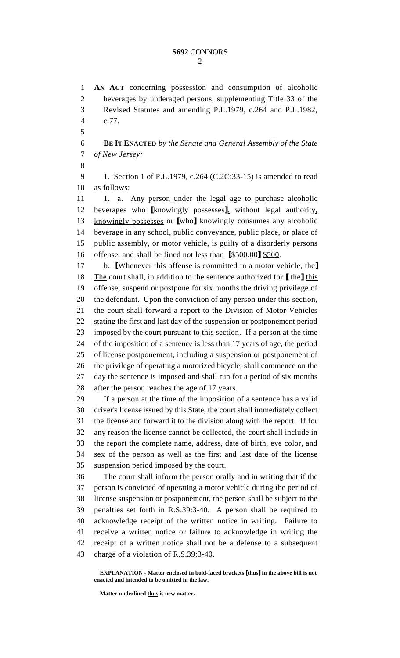**AN ACT** concerning possession and consumption of alcoholic beverages by underaged persons, supplementing Title 33 of the Revised Statutes and amending P.L.1979, c.264 and P.L.1982, c.77. **BE IT ENACTED** *by the Senate and General Assembly of the State of New Jersey:* 1. Section 1 of P.L.1979, c.264 (C.2C:33-15) is amended to read as follows: 11 1. a. Any person under the legal age to purchase alcoholic beverages who **[**knowingly possesses**]**, without legal authority, knowingly possesses or **[**who**]** knowingly consumes any alcoholic beverage in any school, public conveyance, public place, or place of public assembly, or motor vehicle, is guilty of a disorderly persons offense, and shall be fined not less than **[**\$500.00**]** \$500.

 b. **[**Whenever this offense is committed in a motor vehicle, the**]** The court shall, in addition to the sentence authorized for **[** the**]** this offense, suspend or postpone for six months the driving privilege of the defendant. Upon the conviction of any person under this section, the court shall forward a report to the Division of Motor Vehicles stating the first and last day of the suspension or postponement period imposed by the court pursuant to this section. If a person at the time of the imposition of a sentence is less than 17 years of age, the period of license postponement, including a suspension or postponement of the privilege of operating a motorized bicycle, shall commence on the day the sentence is imposed and shall run for a period of six months after the person reaches the age of 17 years.

 If a person at the time of the imposition of a sentence has a valid driver's license issued by this State, the court shall immediately collect the license and forward it to the division along with the report. If for any reason the license cannot be collected, the court shall include in the report the complete name, address, date of birth, eye color, and sex of the person as well as the first and last date of the license suspension period imposed by the court.

 The court shall inform the person orally and in writing that if the person is convicted of operating a motor vehicle during the period of license suspension or postponement, the person shall be subject to the penalties set forth in R.S.39:3-40. A person shall be required to acknowledge receipt of the written notice in writing. Failure to receive a written notice or failure to acknowledge in writing the receipt of a written notice shall not be a defense to a subsequent charge of a violation of R.S.39:3-40.

**EXPLANATION - Matter enclosed in bold-faced brackets [thus] in the above bill is not enacted and intended to be omitted in the law.**

**Matter underlined thus is new matter.**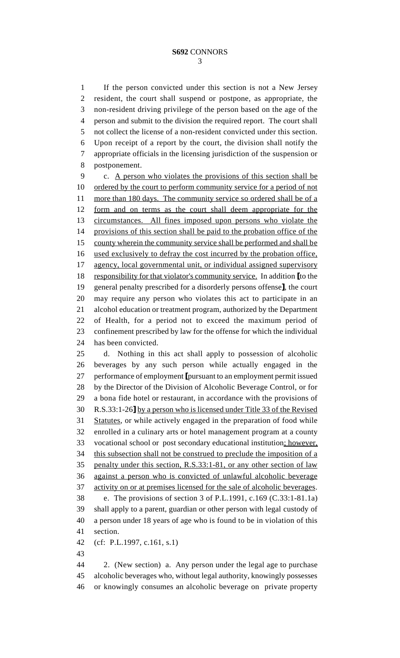If the person convicted under this section is not a New Jersey resident, the court shall suspend or postpone, as appropriate, the non-resident driving privilege of the person based on the age of the person and submit to the division the required report. The court shall not collect the license of a non-resident convicted under this section. Upon receipt of a report by the court, the division shall notify the appropriate officials in the licensing jurisdiction of the suspension or postponement.

 c. A person who violates the provisions of this section shall be 10 ordered by the court to perform community service for a period of not 11 more than 180 days. The community service so ordered shall be of a form and on terms as the court shall deem appropriate for the circumstances. All fines imposed upon persons who violate the provisions of this section shall be paid to the probation office of the county wherein the community service shall be performed and shall be used exclusively to defray the cost incurred by the probation office, agency, local governmental unit, or individual assigned supervisory responsibility for that violator's community service. In addition **[**to the general penalty prescribed for a disorderly persons offense**]**, the court may require any person who violates this act to participate in an alcohol education or treatment program, authorized by the Department of Health, for a period not to exceed the maximum period of confinement prescribed by law for the offense for which the individual has been convicted.

 d. Nothing in this act shall apply to possession of alcoholic beverages by any such person while actually engaged in the performance of employment **[**pursuant to an employment permit issued by the Director of the Division of Alcoholic Beverage Control, or for a bona fide hotel or restaurant, in accordance with the provisions of R.S.33:1-26**]** by a person who is licensed under Title 33 of the Revised Statutes, or while actively engaged in the preparation of food while enrolled in a culinary arts or hotel management program at a county vocational school or post secondary educational institution; however, this subsection shall not be construed to preclude the imposition of a penalty under this section, R.S.33:1-81, or any other section of law against a person who is convicted of unlawful alcoholic beverage 37 activity on or at premises licensed for the sale of alcoholic beverages. e. The provisions of section 3 of P.L.1991, c.169 (C.33:1-81.1a) shall apply to a parent, guardian or other person with legal custody of a person under 18 years of age who is found to be in violation of this section.

(cf: P.L.1997, c.161, s.1)

 2. (New section) a. Any person under the legal age to purchase alcoholic beverages who, without legal authority, knowingly possesses or knowingly consumes an alcoholic beverage on private property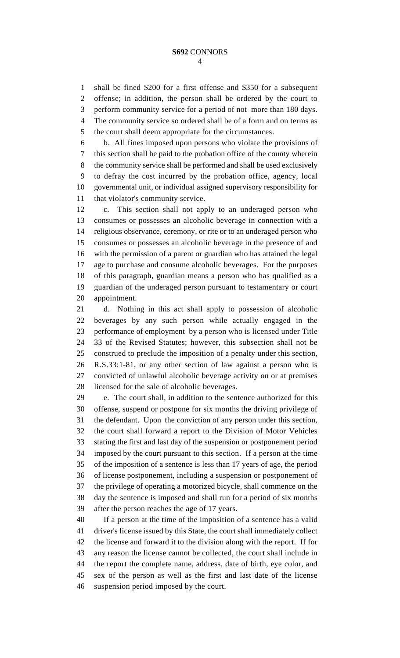shall be fined \$200 for a first offense and \$350 for a subsequent offense; in addition, the person shall be ordered by the court to perform community service for a period of not more than 180 days. The community service so ordered shall be of a form and on terms as the court shall deem appropriate for the circumstances. b. All fines imposed upon persons who violate the provisions of this section shall be paid to the probation office of the county wherein the community service shall be performed and shall be used exclusively to defray the cost incurred by the probation office, agency, local governmental unit, or individual assigned supervisory responsibility for

that violator's community service.

 c. This section shall not apply to an underaged person who consumes or possesses an alcoholic beverage in connection with a religious observance, ceremony, or rite or to an underaged person who consumes or possesses an alcoholic beverage in the presence of and with the permission of a parent or guardian who has attained the legal age to purchase and consume alcoholic beverages. For the purposes of this paragraph, guardian means a person who has qualified as a guardian of the underaged person pursuant to testamentary or court appointment.

 d. Nothing in this act shall apply to possession of alcoholic beverages by any such person while actually engaged in the performance of employment by a person who is licensed under Title 33 of the Revised Statutes; however, this subsection shall not be construed to preclude the imposition of a penalty under this section, R.S.33:1-81, or any other section of law against a person who is convicted of unlawful alcoholic beverage activity on or at premises licensed for the sale of alcoholic beverages.

 e. The court shall, in addition to the sentence authorized for this offense, suspend or postpone for six months the driving privilege of the defendant. Upon the conviction of any person under this section, the court shall forward a report to the Division of Motor Vehicles stating the first and last day of the suspension or postponement period imposed by the court pursuant to this section. If a person at the time of the imposition of a sentence is less than 17 years of age, the period of license postponement, including a suspension or postponement of the privilege of operating a motorized bicycle, shall commence on the day the sentence is imposed and shall run for a period of six months after the person reaches the age of 17 years.

 If a person at the time of the imposition of a sentence has a valid driver's license issued by this State, the court shall immediately collect the license and forward it to the division along with the report. If for any reason the license cannot be collected, the court shall include in the report the complete name, address, date of birth, eye color, and sex of the person as well as the first and last date of the license suspension period imposed by the court.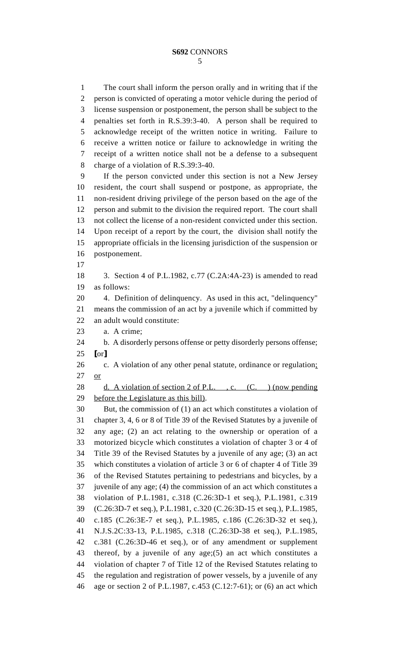The court shall inform the person orally and in writing that if the person is convicted of operating a motor vehicle during the period of license suspension or postponement, the person shall be subject to the penalties set forth in R.S.39:3-40. A person shall be required to acknowledge receipt of the written notice in writing. Failure to receive a written notice or failure to acknowledge in writing the receipt of a written notice shall not be a defense to a subsequent charge of a violation of R.S.39:3-40. If the person convicted under this section is not a New Jersey resident, the court shall suspend or postpone, as appropriate, the non-resident driving privilege of the person based on the age of the person and submit to the division the required report. The court shall not collect the license of a non-resident convicted under this section. Upon receipt of a report by the court, the division shall notify the appropriate officials in the licensing jurisdiction of the suspension or postponement. 3. Section 4 of P.L.1982, c.77 (C.2A:4A-23) is amended to read as follows: 4. Definition of delinquency. As used in this act, "delinquency" means the commission of an act by a juvenile which if committed by an adult would constitute: a. A crime; b. A disorderly persons offense or petty disorderly persons offense; **[**or**]** 26 c. A violation of any other penal statute, ordinance or regulation; or 28 d. A violation of section 2 of P.L., c. (C.) (now pending before the Legislature as this bill). But, the commission of (1) an act which constitutes a violation of chapter 3, 4, 6 or 8 of Title 39 of the Revised Statutes by a juvenile of any age; (2) an act relating to the ownership or operation of a motorized bicycle which constitutes a violation of chapter 3 or 4 of Title 39 of the Revised Statutes by a juvenile of any age; (3) an act which constitutes a violation of article 3 or 6 of chapter 4 of Title 39 of the Revised Statutes pertaining to pedestrians and bicycles, by a juvenile of any age; (4) the commission of an act which constitutes a violation of P.L.1981, c.318 (C.26:3D-1 et seq.), P.L.1981, c.319 (C.26:3D-7 et seq.), P.L.1981, c.320 (C.26:3D-15 et seq.), P.L.1985, c.185 (C.26:3E-7 et seq.), P.L.1985, c.186 (C.26:3D-32 et seq.), N.J.S.2C:33-13, P.L.1985, c.318 (C.26:3D-38 et seq.), P.L.1985, c.381 (C.26:3D-46 et seq.), or of any amendment or supplement thereof, by a juvenile of any age;(5) an act which constitutes a violation of chapter 7 of Title 12 of the Revised Statutes relating to the regulation and registration of power vessels, by a juvenile of any age or section 2 of P.L.1987, c.453 (C.12:7-61); or (6) an act which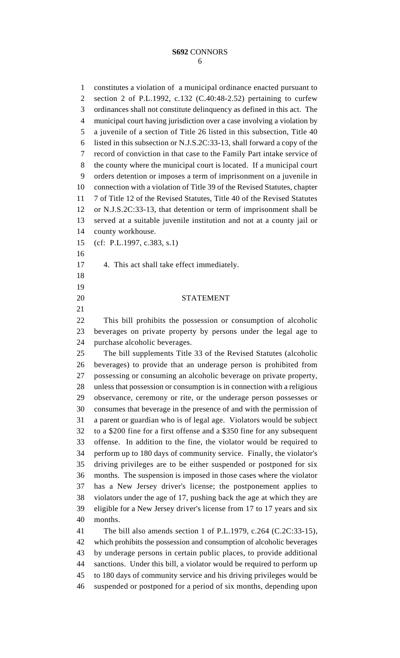constitutes a violation of a municipal ordinance enacted pursuant to section 2 of P.L.1992, c.132 (C.40:48-2.52) pertaining to curfew ordinances shall not constitute delinquency as defined in this act. The municipal court having jurisdiction over a case involving a violation by a juvenile of a section of Title 26 listed in this subsection, Title 40 listed in this subsection or N.J.S.2C:33-13, shall forward a copy of the record of conviction in that case to the Family Part intake service of the county where the municipal court is located. If a municipal court orders detention or imposes a term of imprisonment on a juvenile in connection with a violation of Title 39 of the Revised Statutes, chapter 7 of Title 12 of the Revised Statutes, Title 40 of the Revised Statutes or N.J.S.2C:33-13, that detention or term of imprisonment shall be served at a suitable juvenile institution and not at a county jail or county workhouse. (cf: P.L.1997, c.383, s.1) 4. This act shall take effect immediately. STATEMENT This bill prohibits the possession or consumption of alcoholic beverages on private property by persons under the legal age to purchase alcoholic beverages. The bill supplements Title 33 of the Revised Statutes (alcoholic beverages) to provide that an underage person is prohibited from possessing or consuming an alcoholic beverage on private property, unless that possession or consumption is in connection with a religious observance, ceremony or rite, or the underage person possesses or consumes that beverage in the presence of and with the permission of a parent or guardian who is of legal age. Violators would be subject to a \$200 fine for a first offense and a \$350 fine for any subsequent offense. In addition to the fine, the violator would be required to perform up to 180 days of community service. Finally, the violator's driving privileges are to be either suspended or postponed for six months. The suspension is imposed in those cases where the violator has a New Jersey driver's license; the postponement applies to violators under the age of 17, pushing back the age at which they are eligible for a New Jersey driver's license from 17 to 17 years and six months. The bill also amends section 1 of P.L.1979, c.264 (C.2C:33-15), which prohibits the possession and consumption of alcoholic beverages by underage persons in certain public places, to provide additional

 sanctions. Under this bill, a violator would be required to perform up to 180 days of community service and his driving privileges would be

suspended or postponed for a period of six months, depending upon